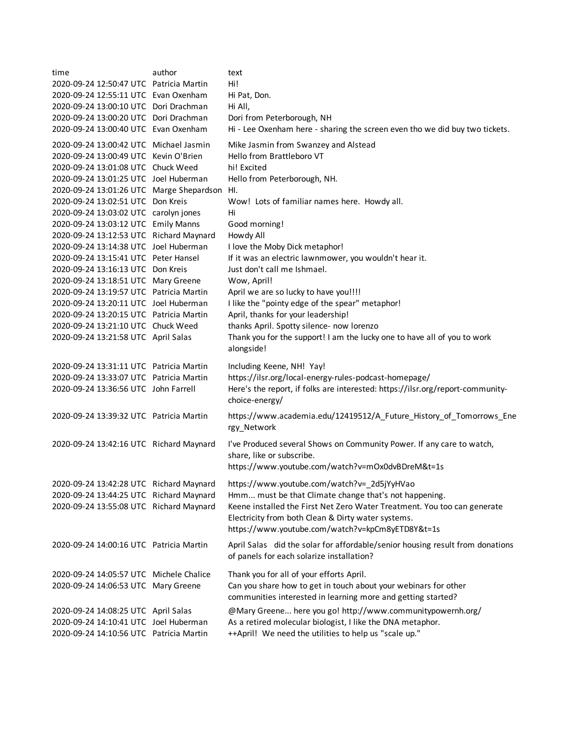| time<br>2020-09-24 12:50:47 UTC Patricia Martin<br>2020-09-24 12:55:11 UTC Evan Oxenham | author | text<br>Hi!<br>Hi Pat, Don.                                                                                                                                                        |
|-----------------------------------------------------------------------------------------|--------|------------------------------------------------------------------------------------------------------------------------------------------------------------------------------------|
| 2020-09-24 13:00:10 UTC Dori Drachman                                                   |        | Hi All,                                                                                                                                                                            |
| 2020-09-24 13:00:20 UTC Dori Drachman                                                   |        | Dori from Peterborough, NH                                                                                                                                                         |
| 2020-09-24 13:00:40 UTC Evan Oxenham                                                    |        | Hi - Lee Oxenham here - sharing the screen even tho we did buy two tickets.                                                                                                        |
| 2020-09-24 13:00:42 UTC Michael Jasmin<br>2020-09-24 13:00:49 UTC Kevin O'Brien         |        | Mike Jasmin from Swanzey and Alstead<br>Hello from Brattleboro VT                                                                                                                  |
| 2020-09-24 13:01:08 UTC Chuck Weed                                                      |        | hi! Excited                                                                                                                                                                        |
| 2020-09-24 13:01:25 UTC Joel Huberman                                                   |        | Hello from Peterborough, NH.                                                                                                                                                       |
| 2020-09-24 13:01:26 UTC Marge Shepardson HI.                                            |        |                                                                                                                                                                                    |
| 2020-09-24 13:02:51 UTC Don Kreis                                                       |        | Wow! Lots of familiar names here. Howdy all.                                                                                                                                       |
| 2020-09-24 13:03:02 UTC carolyn jones                                                   |        | Hi                                                                                                                                                                                 |
| 2020-09-24 13:03:12 UTC Emily Manns                                                     |        | Good morning!                                                                                                                                                                      |
| 2020-09-24 13:12:53 UTC Richard Maynard                                                 |        | Howdy All                                                                                                                                                                          |
| 2020-09-24 13:14:38 UTC Joel Huberman                                                   |        | I love the Moby Dick metaphor!                                                                                                                                                     |
| 2020-09-24 13:15:41 UTC Peter Hansel                                                    |        | If it was an electric lawnmower, you wouldn't hear it.                                                                                                                             |
| 2020-09-24 13:16:13 UTC Don Kreis                                                       |        | Just don't call me Ishmael.                                                                                                                                                        |
| 2020-09-24 13:18:51 UTC Mary Greene                                                     |        | Wow, April!                                                                                                                                                                        |
| 2020-09-24 13:19:57 UTC Patricia Martin                                                 |        | April we are so lucky to have you!!!!                                                                                                                                              |
| 2020-09-24 13:20:11 UTC Joel Huberman                                                   |        | I like the "pointy edge of the spear" metaphor!                                                                                                                                    |
| 2020-09-24 13:20:15 UTC Patricia Martin                                                 |        | April, thanks for your leadership!                                                                                                                                                 |
| 2020-09-24 13:21:10 UTC Chuck Weed                                                      |        | thanks April. Spotty silence- now lorenzo                                                                                                                                          |
| 2020-09-24 13:21:58 UTC April Salas                                                     |        | Thank you for the support! I am the lucky one to have all of you to work                                                                                                           |
|                                                                                         |        | alongside!                                                                                                                                                                         |
| 2020-09-24 13:31:11 UTC Patricia Martin                                                 |        | Including Keene, NH! Yay!                                                                                                                                                          |
| 2020-09-24 13:33:07 UTC Patricia Martin                                                 |        | https://ilsr.org/local-energy-rules-podcast-homepage/                                                                                                                              |
| 2020-09-24 13:36:56 UTC John Farrell                                                    |        | Here's the report, if folks are interested: https://ilsr.org/report-community-<br>choice-energy/                                                                                   |
| 2020-09-24 13:39:32 UTC Patricia Martin                                                 |        | https://www.academia.edu/12419512/A_Future_History_of_Tomorrows_Ene<br>rgy_Network                                                                                                 |
| 2020-09-24 13:42:16 UTC Richard Maynard                                                 |        | I've Produced several Shows on Community Power. If any care to watch,<br>share, like or subscribe.                                                                                 |
|                                                                                         |        | https://www.youtube.com/watch?v=mOx0dvBDreM&t=1s                                                                                                                                   |
| 2020-09-24 13:42:28 UTC Richard Maynard                                                 |        | https://www.youtube.com/watch?v=_2d5jYyHVao                                                                                                                                        |
| 2020-09-24 13:44:25 UTC Richard Maynard                                                 |        | Hmm must be that Climate change that's not happening.                                                                                                                              |
| 2020-09-24 13:55:08 UTC Richard Maynard                                                 |        | Keene installed the First Net Zero Water Treatment. You too can generate<br>Electricity from both Clean & Dirty water systems.<br>https://www.youtube.com/watch?v=kpCm8yETD8Y&t=1s |
| 2020-09-24 14:00:16 UTC Patricia Martin                                                 |        | April Salas did the solar for affordable/senior housing result from donations<br>of panels for each solarize installation?                                                         |
| 2020-09-24 14:05:57 UTC Michele Chalice                                                 |        | Thank you for all of your efforts April.                                                                                                                                           |
| 2020-09-24 14:06:53 UTC Mary Greene                                                     |        | Can you share how to get in touch about your webinars for other<br>communities interested in learning more and getting started?                                                    |
| 2020-09-24 14:08:25 UTC April Salas                                                     |        | @Mary Greene here you go! http://www.communitypowernh.org/                                                                                                                         |
| 2020-09-24 14:10:41 UTC Joel Huberman                                                   |        | As a retired molecular biologist, I like the DNA metaphor.                                                                                                                         |
| 2020-09-24 14:10:56 UTC Patricia Martin                                                 |        | ++April! We need the utilities to help us "scale up."                                                                                                                              |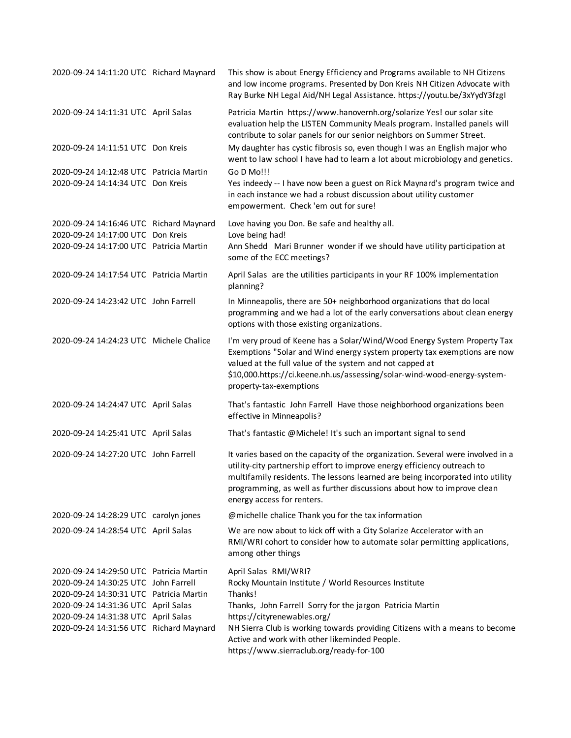| 2020-09-24 14:11:20 UTC Richard Maynard                                                                                                                                                                                                             | This show is about Energy Efficiency and Programs available to NH Citizens<br>and low income programs. Presented by Don Kreis NH Citizen Advocate with<br>Ray Burke NH Legal Aid/NH Legal Assistance. https://youtu.be/3xYydY3fzgI                                                                                                                              |
|-----------------------------------------------------------------------------------------------------------------------------------------------------------------------------------------------------------------------------------------------------|-----------------------------------------------------------------------------------------------------------------------------------------------------------------------------------------------------------------------------------------------------------------------------------------------------------------------------------------------------------------|
| 2020-09-24 14:11:31 UTC April Salas                                                                                                                                                                                                                 | Patricia Martin https://www.hanovernh.org/solarize Yes! our solar site<br>evaluation help the LISTEN Community Meals program. Installed panels will<br>contribute to solar panels for our senior neighbors on Summer Street.                                                                                                                                    |
| 2020-09-24 14:11:51 UTC Don Kreis                                                                                                                                                                                                                   | My daughter has cystic fibrosis so, even though I was an English major who<br>went to law school I have had to learn a lot about microbiology and genetics.                                                                                                                                                                                                     |
| 2020-09-24 14:12:48 UTC Patricia Martin<br>2020-09-24 14:14:34 UTC Don Kreis                                                                                                                                                                        | Go D Mo!!!<br>Yes indeedy -- I have now been a guest on Rick Maynard's program twice and<br>in each instance we had a robust discussion about utility customer<br>empowerment. Check 'em out for sure!                                                                                                                                                          |
| 2020-09-24 14:16:46 UTC Richard Maynard                                                                                                                                                                                                             | Love having you Don. Be safe and healthy all.                                                                                                                                                                                                                                                                                                                   |
| 2020-09-24 14:17:00 UTC Don Kreis                                                                                                                                                                                                                   | Love being had!                                                                                                                                                                                                                                                                                                                                                 |
| 2020-09-24 14:17:00 UTC Patricia Martin                                                                                                                                                                                                             | Ann Shedd Mari Brunner wonder if we should have utility participation at<br>some of the ECC meetings?                                                                                                                                                                                                                                                           |
| 2020-09-24 14:17:54 UTC Patricia Martin                                                                                                                                                                                                             | April Salas are the utilities participants in your RF 100% implementation<br>planning?                                                                                                                                                                                                                                                                          |
| 2020-09-24 14:23:42 UTC John Farrell                                                                                                                                                                                                                | In Minneapolis, there are 50+ neighborhood organizations that do local<br>programming and we had a lot of the early conversations about clean energy<br>options with those existing organizations.                                                                                                                                                              |
| 2020-09-24 14:24:23 UTC Michele Chalice                                                                                                                                                                                                             | I'm very proud of Keene has a Solar/Wind/Wood Energy System Property Tax<br>Exemptions "Solar and Wind energy system property tax exemptions are now<br>valued at the full value of the system and not capped at<br>\$10,000.https://ci.keene.nh.us/assessing/solar-wind-wood-energy-system-<br>property-tax-exemptions                                         |
| 2020-09-24 14:24:47 UTC April Salas                                                                                                                                                                                                                 | That's fantastic John Farrell Have those neighborhood organizations been<br>effective in Minneapolis?                                                                                                                                                                                                                                                           |
| 2020-09-24 14:25:41 UTC April Salas                                                                                                                                                                                                                 | That's fantastic @Michele! It's such an important signal to send                                                                                                                                                                                                                                                                                                |
| 2020-09-24 14:27:20 UTC John Farrell                                                                                                                                                                                                                | It varies based on the capacity of the organization. Several were involved in a<br>utility-city partnership effort to improve energy efficiency outreach to<br>multifamily residents. The lessons learned are being incorporated into utility<br>programming, as well as further discussions about how to improve clean<br>energy access for renters.           |
| 2020-09-24 14:28:29 UTC carolyn jones                                                                                                                                                                                                               | @michelle chalice Thank you for the tax information                                                                                                                                                                                                                                                                                                             |
| 2020-09-24 14:28:54 UTC April Salas                                                                                                                                                                                                                 | We are now about to kick off with a City Solarize Accelerator with an<br>RMI/WRI cohort to consider how to automate solar permitting applications,<br>among other things                                                                                                                                                                                        |
| 2020-09-24 14:29:50 UTC Patricia Martin<br>2020-09-24 14:30:25 UTC John Farrell<br>2020-09-24 14:30:31 UTC Patricia Martin<br>2020-09-24 14:31:36 UTC April Salas<br>2020-09-24 14:31:38 UTC April Salas<br>2020-09-24 14:31:56 UTC Richard Maynard | April Salas RMI/WRI?<br>Rocky Mountain Institute / World Resources Institute<br>Thanks!<br>Thanks, John Farrell Sorry for the jargon Patricia Martin<br>https://cityrenewables.org/<br>NH Sierra Club is working towards providing Citizens with a means to become<br>Active and work with other likeminded People.<br>https://www.sierraclub.org/ready-for-100 |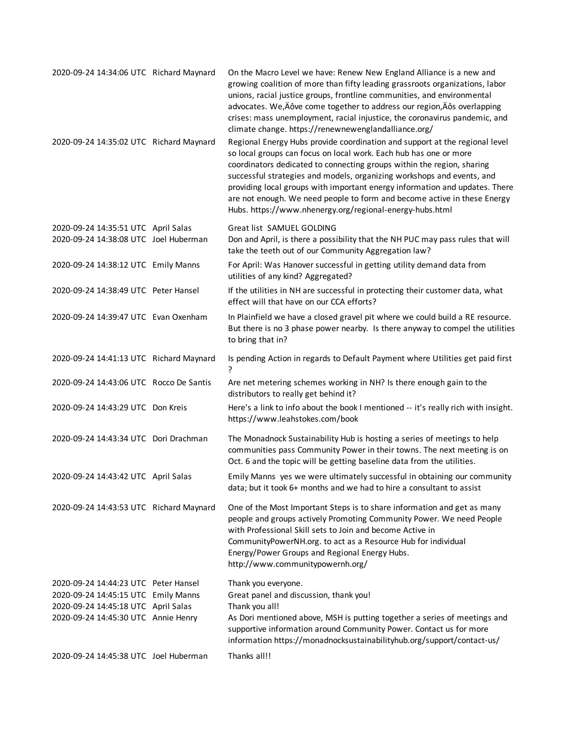| 2020-09-24 14:34:06 UTC Richard Maynard                                      | On the Macro Level we have: Renew New England Alliance is a new and<br>growing coalition of more than fifty leading grassroots organizations, labor<br>unions, racial justice groups, frontline communities, and environmental<br>advocates. We, Äôve come together to address our region, Äôs overlapping<br>crises: mass unemployment, racial injustice, the coronavirus pandemic, and<br>climate change. https://renewnewenglandalliance.org/                                                                            |
|------------------------------------------------------------------------------|-----------------------------------------------------------------------------------------------------------------------------------------------------------------------------------------------------------------------------------------------------------------------------------------------------------------------------------------------------------------------------------------------------------------------------------------------------------------------------------------------------------------------------|
| 2020-09-24 14:35:02 UTC Richard Maynard                                      | Regional Energy Hubs provide coordination and support at the regional level<br>so local groups can focus on local work. Each hub has one or more<br>coordinators dedicated to connecting groups within the region, sharing<br>successful strategies and models, organizing workshops and events, and<br>providing local groups with important energy information and updates. There<br>are not enough. We need people to form and become active in these Energy<br>Hubs. https://www.nhenergy.org/regional-energy-hubs.html |
| 2020-09-24 14:35:51 UTC April Salas<br>2020-09-24 14:38:08 UTC Joel Huberman | Great list SAMUEL GOLDING<br>Don and April, is there a possibility that the NH PUC may pass rules that will<br>take the teeth out of our Community Aggregation law?                                                                                                                                                                                                                                                                                                                                                         |
| 2020-09-24 14:38:12 UTC Emily Manns                                          | For April: Was Hanover successful in getting utility demand data from<br>utilities of any kind? Aggregated?                                                                                                                                                                                                                                                                                                                                                                                                                 |
| 2020-09-24 14:38:49 UTC Peter Hansel                                         | If the utilities in NH are successful in protecting their customer data, what<br>effect will that have on our CCA efforts?                                                                                                                                                                                                                                                                                                                                                                                                  |
| 2020-09-24 14:39:47 UTC Evan Oxenham                                         | In Plainfield we have a closed gravel pit where we could build a RE resource.<br>But there is no 3 phase power nearby. Is there anyway to compel the utilities<br>to bring that in?                                                                                                                                                                                                                                                                                                                                         |
| 2020-09-24 14:41:13 UTC Richard Maynard                                      | Is pending Action in regards to Default Payment where Utilities get paid first<br>?                                                                                                                                                                                                                                                                                                                                                                                                                                         |
| 2020-09-24 14:43:06 UTC Rocco De Santis                                      | Are net metering schemes working in NH? Is there enough gain to the<br>distributors to really get behind it?                                                                                                                                                                                                                                                                                                                                                                                                                |
| 2020-09-24 14:43:29 UTC Don Kreis                                            | Here's a link to info about the book I mentioned -- it's really rich with insight.<br>https://www.leahstokes.com/book                                                                                                                                                                                                                                                                                                                                                                                                       |
| 2020-09-24 14:43:34 UTC Dori Drachman                                        | The Monadnock Sustainability Hub is hosting a series of meetings to help<br>communities pass Community Power in their towns. The next meeting is on<br>Oct. 6 and the topic will be getting baseline data from the utilities.                                                                                                                                                                                                                                                                                               |
| 2020-09-24 14:43:42 UTC April Salas                                          | Emily Manns yes we were ultimately successful in obtaining our community<br>data; but it took 6+ months and we had to hire a consultant to assist                                                                                                                                                                                                                                                                                                                                                                           |
| 2020-09-24 14:43:53 UTC Richard Maynard                                      | One of the Most Important Steps is to share information and get as many<br>people and groups actively Promoting Community Power. We need People<br>with Professional Skill sets to Join and become Active in<br>CommunityPowerNH.org. to act as a Resource Hub for individual<br>Energy/Power Groups and Regional Energy Hubs.<br>http://www.communitypowernh.org/                                                                                                                                                          |
| 2020-09-24 14:44:23 UTC Peter Hansel<br>2020-09-24 14:45:15 UTC Emily Manns  | Thank you everyone.<br>Great panel and discussion, thank you!                                                                                                                                                                                                                                                                                                                                                                                                                                                               |
| 2020-09-24 14:45:18 UTC April Salas<br>2020-09-24 14:45:30 UTC Annie Henry   | Thank you all!<br>As Dori mentioned above, MSH is putting together a series of meetings and<br>supportive information around Community Power. Contact us for more                                                                                                                                                                                                                                                                                                                                                           |
|                                                                              | information https://monadnocksustainabilityhub.org/support/contact-us/                                                                                                                                                                                                                                                                                                                                                                                                                                                      |
| 2020-09-24 14:45:38 UTC Joel Huberman                                        | Thanks all!!                                                                                                                                                                                                                                                                                                                                                                                                                                                                                                                |